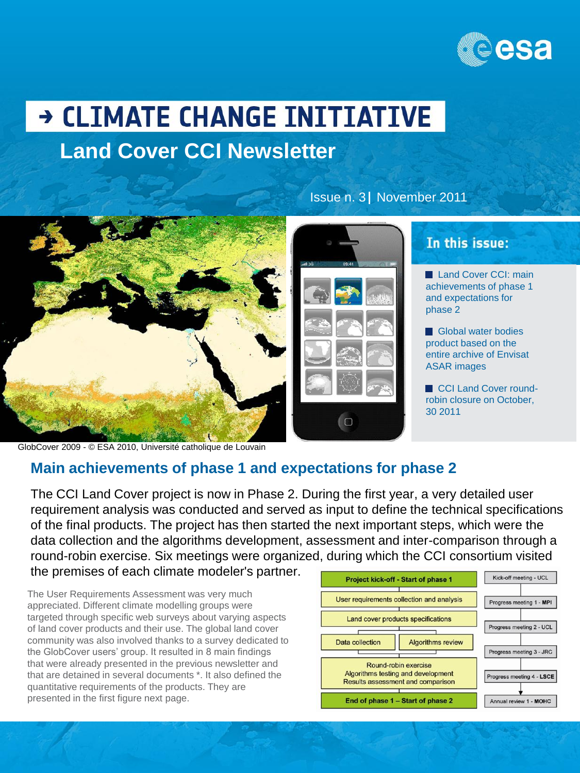

Land Cover CCI: main achievements of phase 1 and expectations for

In this issue:

Global water bodies product based on the entire archive of Envisat

CCI Land Cover roundrobin closure on October,

phase 2

30 2011

ASAR images

# → CLIMATE CHANGE INITIATIVE **Land Cover CCI Newsletter**



GlobCover 2009 - © ESA 2010, Université catholique de Louvain

### **Main achievements of phase 1 and expectations for phase 2**

The CCI Land Cover project is now in Phase 2. During the first year, a very detailed user requirement analysis was conducted and served as input to define the technical specifications of the final products. The project has then started the next important steps, which were the data collection and the algorithms development, assessment and inter-comparison through a round-robin exercise. Six meetings were organized, during which the CCI consortium visited the premises of each climate modeler's partner.

 $\Box$ 

The User Requirements Assessment was very much appreciated. Different climate modelling groups were targeted through specific web surveys about varying aspects of land cover products and their use. The global land cover community was also involved thanks to a survey dedicated to the GlobCover users' group. It resulted in 8 main findings that were already presented in the previous newsletter and that are detained in several documents \*. It also defined the quantitative requirements of the products. They are presented in the first figure next page.



Issue n. 3 November 2011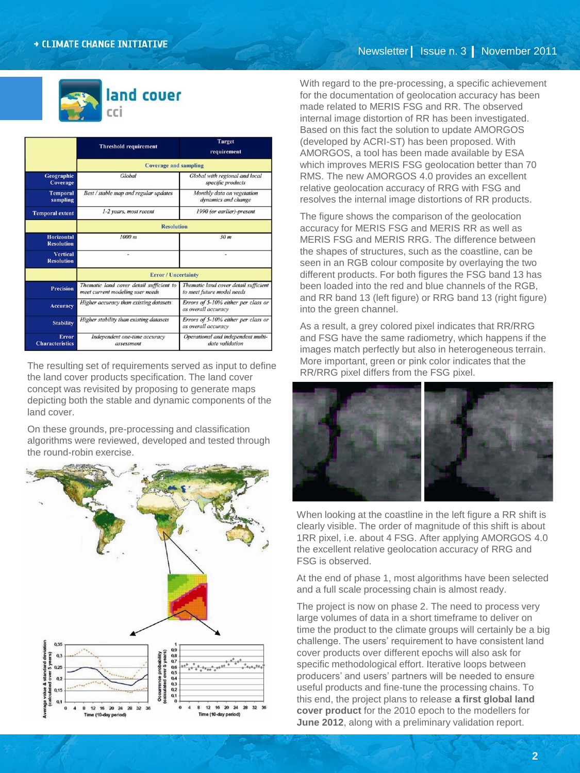

|                                        | <b>Threshold requirement</b>                                                 | <b>Target</b><br>requirement                                        |
|----------------------------------------|------------------------------------------------------------------------------|---------------------------------------------------------------------|
|                                        | <b>Coverage and sampling</b>                                                 |                                                                     |
| Geographic<br>Coverage                 | Global                                                                       | Global with regional and local<br>specific products                 |
| <b>Temporal</b><br>sampling            | Best / stable map and regular updates                                        | Monthly data on vegetation<br>dynamics and change                   |
| <b>Temporal extent</b>                 | 1-2 years, most recent                                                       | 1990 (or earlier)-present                                           |
|                                        | <b>Resolution</b>                                                            |                                                                     |
| <b>Horizontal</b><br><b>Resolution</b> | 1000 m                                                                       | 30 <sub>m</sub>                                                     |
| <b>Vertical</b><br><b>Resolution</b>   |                                                                              |                                                                     |
|                                        | <b>Error</b> / Uncertainty                                                   |                                                                     |
| <b>Precision</b>                       | Thematic land cover detail sufficient to<br>meet current modeling user needs | Thematic land cover detail sufficient<br>to meet future model needs |
| <b>Accuracy</b>                        | Higher accuracy than existing datasets                                       | Errors of 5-10% either per class or<br>as overall accuracy          |
| <b>Stability</b>                       | Higher stability than existing datasets                                      | Errors of 5-10% either per class or<br>as overall accuracy          |
| Error<br><b>Characteristics</b>        | Independent one-time accuracy<br>assessment                                  | Operational and independent multi-<br>date validation               |

The resulting set of requirements served as input to define the land cover products specification. The land cover concept was revisited by proposing to generate maps depicting both the stable and dynamic components of the land cover.

On these grounds, pre-processing and classification algorithms were reviewed, developed and tested through the round-robin exercise.



With regard to the pre-processing, a specific achievement for the documentation of geolocation accuracy has been made related to MERIS FSG and RR. The observed internal image distortion of RR has been investigated. Based on this fact the solution to update AMORGOS (developed by ACRI-ST) has been proposed. With AMORGOS, a tool has been made available by ESA which improves MERIS FSG geolocation better than 70 RMS. The new AMORGOS 4.0 provides an excellent relative geolocation accuracy of RRG with FSG and resolves the internal image distortions of RR products.

The figure shows the comparison of the geolocation accuracy for MERIS FSG and MERIS RR as well as MERIS FSG and MERIS RRG. The difference between the shapes of structures, such as the coastline, can be seen in an RGB colour composite by overlaying the two different products. For both figures the FSG band 13 has been loaded into the red and blue channels of the RGB, and RR band 13 (left figure) or RRG band 13 (right figure) into the green channel.

As a result, a grey colored pixel indicates that RR/RRG and FSG have the same radiometry, which happens if the images match perfectly but also in heterogeneous terrain. More important, green or pink color indicates that the RR/RRG pixel differs from the FSG pixel.



When looking at the coastline in the left figure a RR shift is clearly visible. The order of magnitude of this shift is about 1RR pixel, i.e. about 4 FSG. After applying AMORGOS 4.0 the excellent relative geolocation accuracy of RRG and FSG is observed.

At the end of phase 1, most algorithms have been selected and a full scale processing chain is almost ready.

The project is now on phase 2. The need to process very large volumes of data in a short timeframe to deliver on time the product to the climate groups will certainly be a big challenge. The users' requirement to have consistent land cover products over different epochs will also ask for specific methodological effort. Iterative loops between producers' and users' partners will be needed to ensure useful products and fine-tune the processing chains. To this end, the project plans to release **a first global land cover product** for the 2010 epoch to the modellers for **June 2012**, along with a preliminary validation report.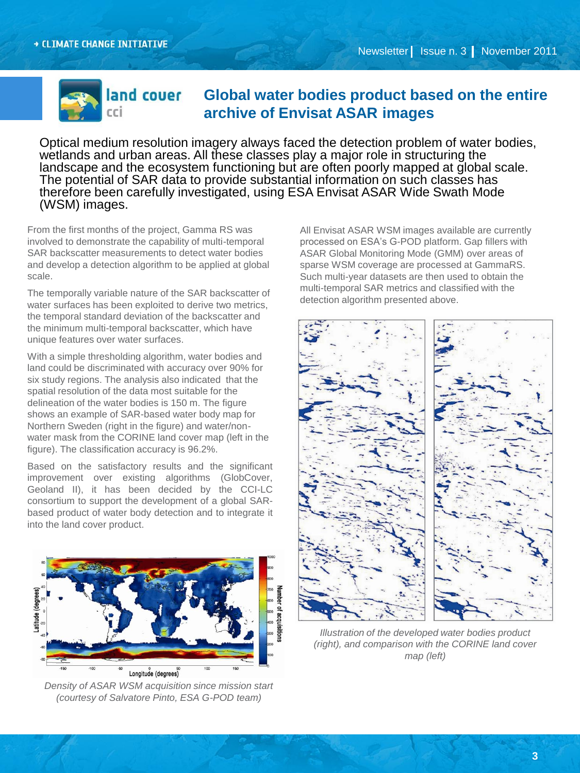

# land couer Global water bodies product based on the entire **archive of Envisat ASAR images**

Optical medium resolution imagery always faced the detection problem of water bodies, wetlands and urban areas. All these classes play a major role in structuring the landscape and the ecosystem functioning but are often poorly mapped at global scale. The potential of SAR data to provide substantial information on such classes has therefore been carefully investigated, using ESA Envisat ASAR Wide Swath Mode (WSM) images.

From the first months of the project, Gamma RS was involved to demonstrate the capability of multi-temporal SAR backscatter measurements to detect water bodies and develop a detection algorithm to be applied at global scale.

The temporally variable nature of the SAR backscatter of water surfaces has been exploited to derive two metrics, the temporal standard deviation of the backscatter and the minimum multi-temporal backscatter, which have unique features over water surfaces.

With a simple thresholding algorithm, water bodies and land could be discriminated with accuracy over 90% for six study regions. The analysis also indicated that the spatial resolution of the data most suitable for the delineation of the water bodies is 150 m. The figure shows an example of SAR-based water body map for Northern Sweden (right in the figure) and water/nonwater mask from the CORINE land cover map (left in the figure). The classification accuracy is 96.2%.

Based on the satisfactory results and the significant improvement over existing algorithms (GlobCover, Geoland II), it has been decided by the CCI-LC consortium to support the development of a global SARbased product of water body detection and to integrate it into the land cover product.



*Density of ASAR WSM acquisition since mission start (courtesy of Salvatore Pinto, ESA G-POD team)*

All Envisat ASAR WSM images available are currently processed on ESA's G-POD platform. Gap fillers with ASAR Global Monitoring Mode (GMM) over areas of sparse WSM coverage are processed at GammaRS. Such multi-year datasets are then used to obtain the multi-temporal SAR metrics and classified with the detection algorithm presented above.



*Illustration of the developed water bodies product (right), and comparison with the CORINE land cover map (left)*